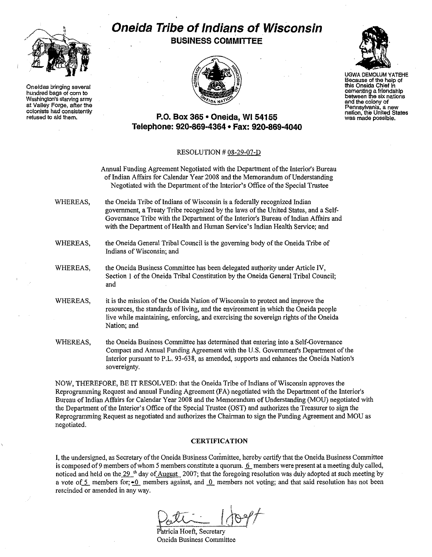

**Oneidas bringing several hundred bags ofcorn to** Washington's starving army at Valley Forga, after the **oolonists hadconsistently** refused to aid them.

## **Oneida Tribe of Indians of Wisconsin BUSINESS COMMITTEE**



UGWA OEMOLUM YATEHE Becausa of the help of this Oneida Chief in<br>cementing a friendship **cementing <sup>a</sup> friendship between thesixnations** and the colony of **Pennsylvania, a new** nation, the United Slates **was madepossible.**

### **P.O. Box 365' Oneida,** WI 54155 **Telephone: 920-869-4364' Fax: 920-869-4040**

#### RESOLUTION # 08-29-07-D

Annual Funding Agreement Negotiated with the Department of the Interior's Bureau of Indian Affairs for Calendar Year 2008 and the Memorandum of Understanding Negotiated with the Department of the Interior's Office of the Special Trustee

- WHEREAS, the Oneida Tribe of Indians of Wisconsin is a federally recognized Indian government, a Treaty Tribe recognized by the laws of the United States, and a Self-Governance Tribe with the Department of the Interior's Bureau of Indian Affairs and with the Department of Health and Human Service's Indian Health Service; and
- WHEREAS, the Oneida General Tribal Council is the governing body of the Oneida Tribe of Indians of Wisconsin; and
- WHEREAS, the Oneida Business Committee has been delegated authority under Article IV, Section 1 of the Oneida Tribal Constitution by the Oneida General Tribal Council; and
- WHEREAS, it is the mission of the Oneida Nation of Wisconsin to protect and improve the resources, the standards of living, and the environment in which the Oneida people live while maintaining, enforcing, and exercising the sovereign rights of the Oneida Nation; and
- WHEREAS, the Oneida Business Committee has determined that entering into a Self-Governance Compact and Annual Funding Agreement with the U.S. Government's Department of the Interior pursuant to P.L. 93-638, as amended, supports and enhances the Oneida Nation's sovereignty.

NOW, THEREFORE, BE IT RESOLVED: that the Oneida Tribe of Indians of Wisconsin approves the Reprogramming Request and annual Funding Agreement (FA) negotiated with the Department of the Interior's Bureau of Indian Affairs for Calendar Year 2008 and the Memorandum of Understanding (MOU) negotiated with the Department of the Interior's Office of the Special Trustee (OST) and authorizes the Treasurer to sign the Reprogramming Requestas negotiated and authorizes the Chairman to sign the Funding Agreement and MOU as negotiated.

#### **CERTIFICATION**

I, the undersigned, as Secretary of the Oneida Business Committee, hereby certify that the Oneida Business Committee is composed of 9 members of whom 5 members constitute a quorum. 6 members were present at a meeting duly called, noticed and held on the 29<sup>th</sup> day of August 2007; that the foregoing resolution was duly adopted at such meeting by a vote of  $\leq$  members for;  $\leq$  members against, and  $\leq$  members not voting; and that said resolution has not been rescinded or amended in any way.

 $\rho_{\text{eff}}=1/\text{eV}$ 

Ptrieia Hoeft,Secretary . Oneida Business Committee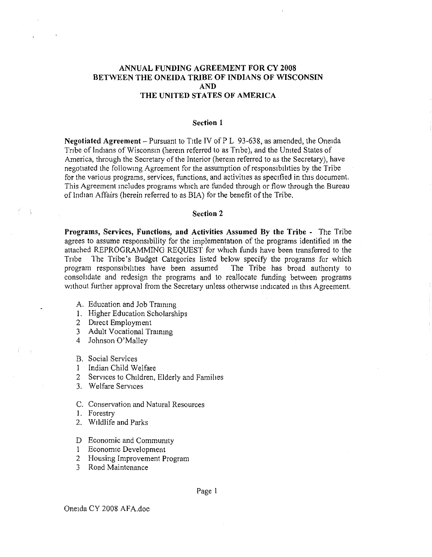### **ANNUAL FUNDING AGREEMENT FOR CY 2008 BETWEEN THE ONEIDA TRIBE OF INDIANS OF WISCONSIN AND THE UNITED STATES OF AMERICA**

#### **Section 1**

**Negotiated Agreement** - Pursuant to Title IV of P L 93-638, as amended, the Oneida Tribe of Indians of Wisconsin (herem referred to as Tribe), and the United States of America, through the Secretary of the Interior (herem referred to as the Secretary), have negotiated the Iollowmg Agreement for the assumption of responsibihties by the Tribe for the various programs, services, functions, and activities as specified in this document. This Agreement mcludes programs which are funded through or flow through the Bureau of Indian Affairs (herein referred to as BIA) for the benefit ofthe Tribe.

#### **Section 2**

**Programs, Services, Functions, and Activities Assumed By the Tribe** - The Tribe agrees to assume responsibility for the implementauon of the programs identified In the attached REPROGRAMMING REQUEST for which funds have been transferred to the Tnbe The Tribe's Budget Categories listed below specify the programs for which program responsibihttes have been assumed The Tribe has broad authonty to consohdate and redesign the programs and to reallocate funding between programs without further approval from the Secretary unless otherwise indicated in this Agreement.

- A. Education and Job Trammg
- I. Higher Education Scholarships
- 2 DIrect Employment
- 3 Adult Vocational Traimng
- 4 Johnson O'Malley
- B. Social Services
- 1 Indian Child Welfare
- 2 Services to Children, Elderly and Families
- 3. Welfare Services
- C. Conservation and Natural Resources
- 1. Forestry
- 2. WIldlife and Parks
- D Economic and Commumty
- I Economic Development
- 2 Housing Improvement Program
- 3 Road Maintenance

Page I

Oneida CY 2008 AFA.doc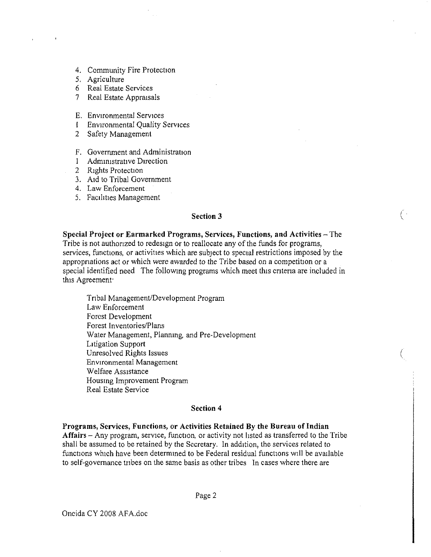- 4. Community Fire Protection
- 5, Agriculture
- 6 Real Estate Services
- 7 Real Estate Appraisals
- E. Environmental Services
- I Environmental Quality Services
- 2 Safety Management
- F. Government and Administration
- 1 Administrative Direction
- 2 Rights Protection
- 3. AId to Tribal Government
- 4. Law Enforcement
- 5. Facilities Management

#### **Section 3**

 $\big($ 

(

**Special Project or Earmarked Programs, Services, Functions, and Activities** - The Tribe is not authorized to redesign or to reallocate any of the funds for programs, services, functions, or activities which are subject to special restrictions imposed by the appropriations act or which were awarded to the Tribe based on a competition or a special identified need The following programs which meet this cntena are included in this Agreement:

Trtbal Management/Development Program Law Enforcement Forest Development Forest Inventories/Plans Water Management, Planning and Pre-Development LItigation Support Unresolved Rights Issues Environmental Management Welfare ASSistance Housing Improvement Program Real Estate Service

#### **Section 4**

**Programs, Services, Functions, or Activities Retained By the Bureau of Indian** Affairs - Any program, service, function, or activity not listed as transferred to the Tribe shall be assumed to be retained by the Secretary. In addition, the services related to functions which have been determmed to be Federal residual funcuons will be available to self-governance tnbes on the same basis as other tribes In cases where there are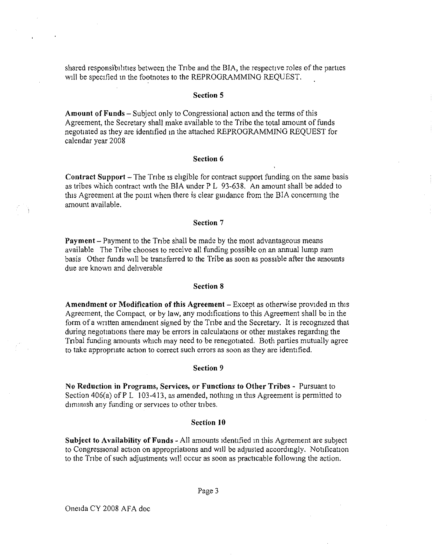shared responsibilities between the Tribe and the BIA, the respective roles of the parties will be specified in the footnotes to the REPROGRAMMING REQUEST.

#### Section 5

Amount of Funds - Subject only to Congressional action and the terms of this Agreement, the Secretary shall make available to the Tribe the total amount of funds negotiated as they are identified In the attached REPROGRAMMING REQUEST for calendar year 2008

#### Section 6

Contract Support - The Tribe is eligible for contract support funding on the same basis as tribes which contract With the BIA under P L 93-638. An amount shall be added to this Agreement at the pomt when there is clear guidance from the BIA concermng the amount available.

#### Section 7

Payment - Payment to the Tribe shall be made by the most advantageous means available The Tribe chooses to receive all funding possible on an annual lump sum basis Other funds will be transferred to the Tribe as soon as possible after the amounts due are known and deliverable

#### Section 8

Amendment or Modification of this Agreement - Except as otherwise provided in this Agreement, the Compact, or by law, any modifications to this Agreement shall be in the form of a written amendment signed by the Tribe and the Secretary. It is recognized that during negotiations there may be errors in calculations or other mistakes regarding the Tnbal funding amounts which may need to be renegotiated, Both parties mutually agree to take appropnate action to correct such errors as soon as they are identified.

#### Section 9

No Reduction in Programs, Services, or Functions to Other Tribes - Pursuant to Section 406(a) of P L  $103-413$ , as amended, nothing in this Agreement is permitted to diminish any funding or services to other tribes.

#### Section **10**

Subject to Availability of Funds - All amounts identified in this Agreement are subject to Congressional acuon on appropriations and Will be adjusted accordingly. Notification to the Tribe of such adjustments will occur as soon as practicable following the action.

Page 3

Oneida CY 2008 AFA doc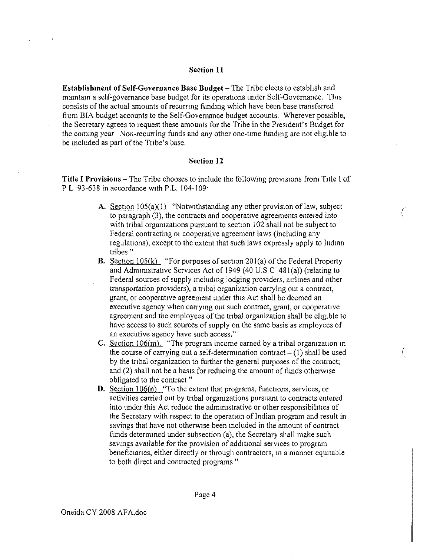#### Section 11

**Establishment of Self-Governance Base Budget - The Tribe elects to establish and** mamtam a self-governance base budget for its operations under Self-Governance. This consists of the actual amounts of recurring funding which have been base transferred from BIA budget accounts to the Self-Governance budget accounts, Wherever possible, the Secretary agrees to request these amounts for the Tribe in the President's Budget for the commg year Non-recurring funds and any other one-time funding are not ehgible to be included as part of the Tribe's base.

#### Section 12

Title I Provisions – The Tribe chooses to include the following provisions from Title I of P L 93-638 in accordance with P.L. 104-109.

> A. Section  $105(a)(1)$  "Notwithstanding any other provision of law, subject to paragraph (3), the contracts and cooperative agreements entered into with tribal orgamzations pursuant to section l02 shall not be subject to Federal contracting or cooperative agreement laws (including any regulations), except to the extent that such laws expressly apply to Indian tribes"

(

- B. Section 105(k) "For purposes of section 201(a) of the Federal Property and Administrative Services Act of 1949 (40 U,S C 48 I(a)) (relating to Federal sources of supply including lodging providers, airlines and other transportation providers), a tnbal organization carrying out a contract, grant, or cooperative agreement under this Act shall be deemed an executive agency when carrying out such contract, grant, or cooperative agreement and the employees of the tnbal organization shall be ehgible to have access to such sources of supply on the same basis as employees of an executive agency have such access,"
- C. Section  $106(m)$ . "The program income carned by a tribal organization in the course of carrying out a self-determination contract  $- (1)$  shall be used by the tribal organization to further the general purposes of the contract; and  $(2)$  shall not be a basis for reducing the amount of funds otherwise obligated to the contract"
- D. Section 106(n) "To the extent that programs, functions, services, or activities carried out by tnbal organizations pursuant to contracts entered into under this Act reduce the administrative or other responsibilities of the Secretary with respect to the operation of Indian program and result in savings that have not otherwise been included in the amount of contract funds determined under subsection (a), the Secretary shall make sueh savrngs available for the provision of addiuonal services to program beneficiaries, either directly or through contractors, in a manner equitable to both direct and contracted programs"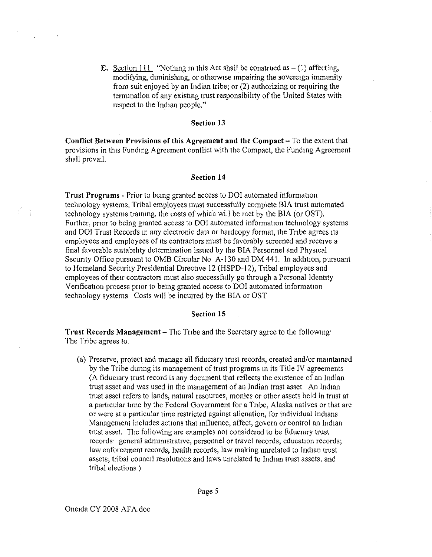E. Section 111 "Nothing in this Act shall be construed as  $- (1)$  affecting, modifying, diminishing, or otherwise impairing the sovereign immunity from suit enjoyed by an Indian tribe; or (2) authorizing or requiring the termination of any existing trust responsibility of the United States with respect to the Indian people."

#### Section 13

Conflict Between Provisions of this Agreement and the Compact - To the extent that provisions in this Funding Agreement conflict with the Compact, the Funding Agreement shall prevail.

#### Section **14**

Trust Programs - Prior to bemg granted access to DOl automated information technology systems. Tribal employees must successfully complete BlA trust automated technology systems trarmng, the costs of which will be met by the BIA (or OST). Further, pnor to being granted access to DOl automated information technology systems and DOI Trust Records in any electronic data or hardcopy format, the Tribe agrees its employees and employees of its contractors must be favorably screened and receive a final favorable suitabilrty determination issued by the BIA Personnel and Physical Security Office pursuant to OMB Circular No A-130 and DM 441. In addition, pursuant to Homeland Security Presidential Directive 12 (HSPD-12), Tribal employees and employees of their contractors must also successfully go through a Personal ldentity Venfication process pnor to being granted access to DOl automated informauon technology systems Costs Will be incurred by the BIA or OST

#### Section 15

**Trust Records Management**  $-$  The Tribe and the Secretary agree to the following: The Tribe agrees to.

(a) Preserve, protect and manage all fiduciary trust records, created and/or mamtamed by the Tribe during its management of trust programs in its Title IV agreements (A fiduciary trust record is any document that reflects the existence of an Indian trust asset and was used in the management of an Indian trust asset An Indian trust asset refers to lands, natural resources, monies or other assets held in trust at a parucular time by the Federal Government for a Tnbe, Alaska natives or that are or were at a particular time restricted against alienation, for individual Indians Management includes actions that influence, affect, govern or control an Indian trust asset. The following are examples not considered to be fiduciary trust records<sup>.</sup> general administrative, personnel or travel records, education records; law enforcement records, health records, law making unrelated to Indian trust assets; tribal council resolutions and laws unrelated to Indian trust assets, and tribal elections)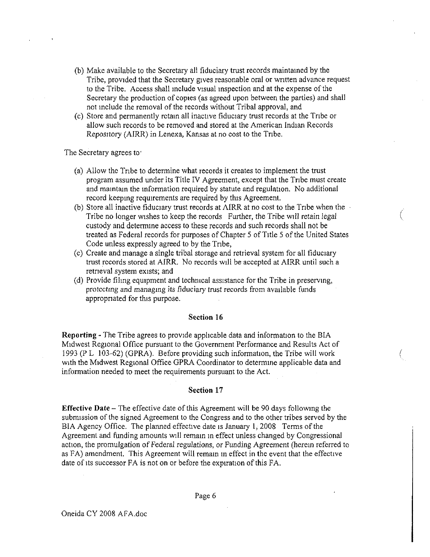- (b) Make available to the Secretary all fiduciary trust records maintained by the Tribe, provided that the Secretary gives reasonable oral or wntten advance request to the Tribe. Access shall include visual inspection and at the expense of the Secretary the production of copies (as agreed upon between the parties) and shall not include the removal of the records without Tribal approval, and
- (c) Store and permanently retain all inactive fiduciary trust records at the Tribe or allow such records to be removed and stored at the American Indian Records Repository (AIRR) in Lenexa, Kansas at no cost to the Tribe.

The Secretary agrees to'

- (a) Allow the Tribe to determine what records it creates to implement the trust program assumed under its Title IV Agreement, except that the Tribe must create and maintain the information required by statute and regulation. No additional record keeping requirements are required by this Agreement.
- (b) Store all inactive fiduciary trust records at AIRR at no cost to the Tribe when the Tribe no longer wishes to keep the records Further, the Tribe will retain legal custody and determine access to these records and such records shall not be treated as Federal records for purposes of Chapter 5 of Title 5 of the United States Code unless expressly agreed to by the Tribe,

(

(

- (c) Create and manage a single tribal storage and retrieval system for all fiduciary trust records stored at AIRR. No records Will be accepted at AIRR until such a retneval system exists; and
- (d) Provide fihng equipment and techrucal assistance for the Tribe in preserving, protectmg and managmg its fiduciary trust records from available funds appropriated for this purpose.

#### **Section 16**

**Reporting** - The Tribe agrees to provide applicable data and inforrnation to the BIA MIdwest Regional Office pursuant to the Government Performance and Results Act of 1993 (P L 103-62) (GPRA). Before providing such information, the Tribe will work with the Midwest Regional Office GPRA Coordinator to determine applicable data and information needed to meet the requirements pursuant to the Act.

#### **Section 17**

**Effective Date** - The effective date ofthis Agreement will be 90 days following the submission of the signed Agreement to the Congress and to the other tribes served by the BIA Agency Office. The planned effective date is January 1, 2008 Terms of the Agreement and funding amounts will remain in effect unless changed by Congressional action, the promulgation of Federal regulations, or Funding Agreement (herem referred to as FA) amendment. This Agreement will remain in effect in the event that the effective date of its successor FA is not on or before the expiration of this FA.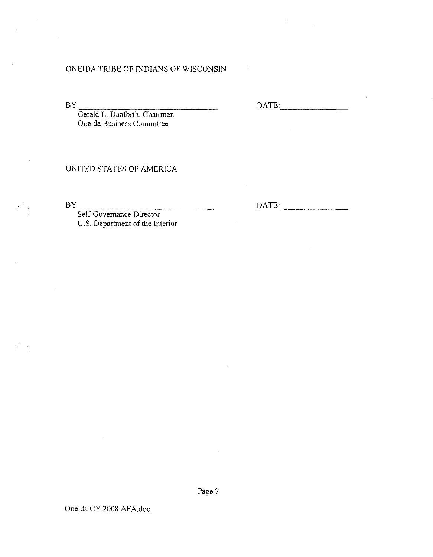### ONEIDA TRIBE OF INDIANS OF WISCONSIN

 $BY$ 

DATE: \_

Gerald L. Danforth, Chairman Oneida Business Committee

### UNITED STATES OF AMERICA

 $BY$ 

DATE<sup>\*</sup>

Self-Governance Director U.S. Department of the Interior

Page 7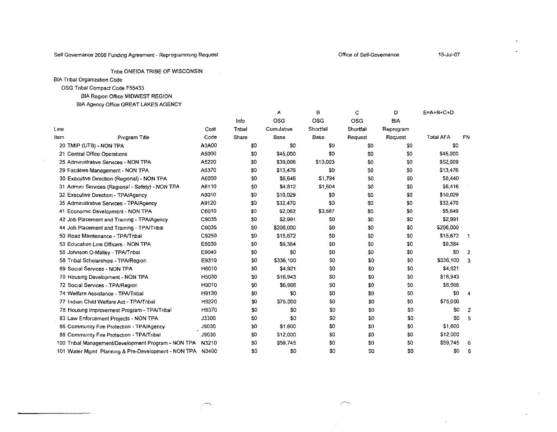#### Self Governance 2008 Funding Agreement - Reprogramming Request

 $\mathcal{L}$ 

 $\bullet$  $\ddot{\phantom{a}}$ 

Tribe ONEIDA TRIBE OF WISCONSIN

**BIA Tribal Organization Code** 

OSG Tribal Compact Code F55433

### BIA Region Office MIDWEST REGION

BIA Agency Office GREAT LAKES AGENCY

|                                                     |              |        | А          | в          | C          | D              | $E = A + B + C + D$ |     |
|-----------------------------------------------------|--------------|--------|------------|------------|------------|----------------|---------------------|-----|
|                                                     |              | Info   | OSG        | <b>OSG</b> | <b>OSG</b> | BIA            |                     |     |
| Line                                                | Cost         | Tribal | Cumulative | Shortfall  | Shortfall  | Reprogram      |                     |     |
| Item<br>Prooram Title                               | Code         | Share  | Base       | Base       | Request    | Request        | <b>Total AFA</b>    | FN  |
| 20 TMIP (UTB) - NON TPA                             | A3A00        | SO.    | \$0        | \$0        | SO.        | SO.            | \$0                 |     |
| 21 Central Office Operations                        | A5000        | 50     | \$45,000   | \$0        | \$0        | S0             | \$45,000            |     |
| 25 Administrative Services - NON TPA                | A5220        | 30     | \$39,006   | \$13,003   | \$0        | S <sub>0</sub> | \$52,009            |     |
| 29 Facilities Management - NON TPA                  | A5370        | 50     | \$13,476   | SO.        | SO.        | S0             | \$13,476            |     |
| 30 Executive Direction (Regional) - NON TPA         | A6000        | \$0    | \$6,646    | \$1,794    | \$0        | S0             | \$8,440             |     |
| 31 Admini Services (Regional - Safety) - NON TPA    | A6110        | \$0    | \$4,812    | \$1,604    | S0         | \$0            | \$6,416             |     |
| 32 Executive Direction - TPA/Agency                 | A9010        | \$0    | \$10,029   | SO.        | \$0        | S0.            | \$10,029            |     |
| 35 Administrative Services - TPA/Agency             | A9120        | \$0    | \$32,470   | \$0        | \$0        | SO.            | \$32,470            |     |
| 41 Economic Development - NON TPA                   | C6010        | 30     | \$2,062    | \$3,587    | \$0        | \$0            | \$5,649             |     |
| 42 Job Placement and Training - TPA/Agency          | C9035        | \$0    | \$2,991    | \$0        | \$0        | \$0            | \$2,991             |     |
| 44 Job Placement and Training - TPA/Tribal          | C9035        | \$0    | \$206,000  | \$0        | \$0        | \$0            | \$206,000           |     |
| 50 Road Maintenance - TPA/Tribal                    | C9250        | \$0    | \$15,672   | SO.        | \$0        | \$0            | \$15,672            | - 1 |
| 53 Education Line Officers - NON TPA                | E5030        | \$0    | \$9,384    | S0         | \$0        | 50             | \$9,384             |     |
| 56 Johnson O-Malley - TPA/Tribal                    | E9040        | \$O    | \$0        | SO.        | \$0        | \$0            | \$0                 | -2  |
| 58 Tribal Scholarships - TPA/Region                 | E9310        | \$O    | \$336,100  | S0         | \$0        | \$0            | \$336,100           | -3  |
| 69 Social Services - NON TPA                        | H6010        | \$0    | \$4,921    | S0         | \$0        | \$0            | \$4,921             |     |
| 70 Housing Development - NON TPA                    | H5030        | \$0    | \$16,943   | SO.        | \$0        | \$0            | \$16,943            |     |
| 72 Social Services - TPA/Region                     | H9010        | \$0    | \$6,966    | S0         | \$0        | SO.            | \$6,966             |     |
| 74 Welfare Assistance - TPA/Tribal                  | H9130        | \$0    | \$0        | \$0        | \$0        | S <sub>0</sub> | \$0                 | -4  |
| 77 Indian Child Welfare Act - TPA/Tnbal             | H9220        | \$0    | \$75,000   | SO.        | \$0        | S0             | \$75,000            |     |
| 78 Housing Improvement Program - TPA/Tribal         | H9370        | \$0    | \$0        | S0         | \$0        | S0             | S0                  | 2   |
| 83 Law Enforcement Projects - NON TPA               | <b>J3300</b> | \$0    | \$0        | \$0        | \$0        | \$0            | \$0                 | -5  |
| 86 Community Fire Protection - TPA/Agency           | J9030        | \$0    | \$1,600    | 30         | \$0        | \$0            | \$1,600             |     |
| 88 Community Fire Protection - TPA/Tribal           | J9030        | \$0    | \$12,000   | \$0        | \$0        | \$0            | \$12,000            |     |
| 100 Tribal Management/Development Program - NON TPA | N3210        | \$0    | \$59,745   | \$0        | \$0        | SQ.            | \$59,745            | -6  |
| 101 Water Momt Planning & Pre-Development - NON TPA | N3400        | \$0    | 30         | \$0        | S0         | \$0            | 30                  | 6   |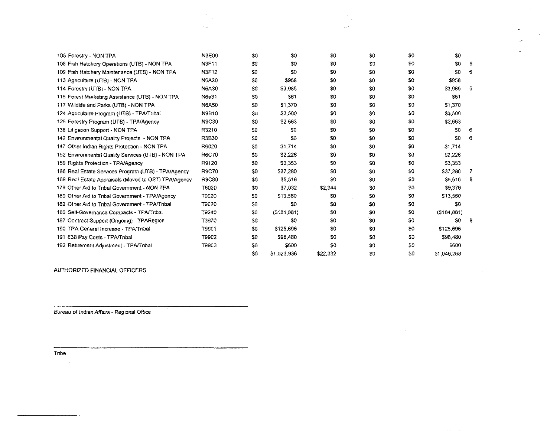| 105 Forestry - NON TPA                               | <b>N3E00</b> | \$0            | \$0           | \$0      | \$0 | \$0 | \$0            |                |
|------------------------------------------------------|--------------|----------------|---------------|----------|-----|-----|----------------|----------------|
| 108 Fish Hatchery Operations (UTB) - NON TPA         | N3F11        | \$0            | -30           | \$0      | \$0 | S0  | \$0            | -6             |
| 109 Fish Hatchery Maintenance (UTB) - NON TPA        | <b>N3F12</b> | 50             | \$0           | -50      | \$0 | \$0 | \$0            | -6             |
| 113 Agriculture (UTB) - NON TPA                      | N6A20        | S0             | \$958         | \$0      | \$0 | \$0 | \$958          |                |
| 114 Forestry (UTB) - NON TPA                         | N6A30        | SO.            | \$3,985       | \$0      | 50  | \$0 | \$3,985        | - 6            |
| 115 Forest Marketing Assistance (UTB) - NON TPA      | N6a31        | S <sub>0</sub> | S61           | 30       | \$0 | \$0 | \$51           |                |
| 117 Wildlife and Parks (UTB) - NON TPA               | <b>N6A50</b> | S <sub>0</sub> | \$1,370       | \$0      | \$0 | \$0 | \$1,370        |                |
| 124 Agriculture Program (UTB) - TPA/Tribal           | <b>N9B10</b> | S0             | \$3,500       | \$0      | \$0 | \$O | \$3,500        |                |
| 125 Forestry Program (UTB) - TPA/Agency              | <b>N9C30</b> | SO.            | <b>\$2663</b> | \$0      | \$O | \$0 | \$2,663        |                |
| 138 Litigation Support - NON TPA                     | R3210        | \$0            | -SO           | 30       | \$0 | \$0 | 50             | -6             |
| 142 Environmental Quality Projects - NON TPA         | R3B30        | S <sub>0</sub> | \$0           | -50      | \$0 | 30  | S <sub>0</sub> | -6             |
| 147 Other Indian Rights Protection - NON TPA         | R6020        | S <sub>0</sub> | \$1,714       | -50      | \$0 | \$0 | \$1,714        |                |
| 152 Environmental Quality Services (UTB) - NON TPA   | <b>R6C70</b> | S <sub>0</sub> | \$2,226       | SC.      | \$0 | \$0 | \$2,226        |                |
| 159 Rights Protection - TPA/Agency                   | R9120        | SO.            | \$3,353       | SO.      | \$0 | \$0 | \$3,353        |                |
| 166 Real Estate Services Program (UTB) - TPA/Agency  | <b>R9C70</b> | \$0            | \$37,280      | SO       | S0  | \$O | \$37,280       | $\overline{7}$ |
| 169 Real Estate Appraisals (Moved to OST) TPA/Agency | <b>R9C80</b> | 50             | \$5,516       | S0       | S0  | SO. | \$5,516        | - 8            |
| 179 Other Aid to Tribal Government - NON TPA         | T6020        | SO.            | \$7,032       | \$2,344  | \$0 | S0  | \$9,376        |                |
| 180 Other Aid to Tribal Government - TPA/Agency      | T9020        | \$0            | \$13,560      | S0       | S0  | S0  | \$13,560       |                |
| 182 Other Aid to Tribal Government - TPA/Tribal      | T9020        | SO.            | -50           | -SC      | \$0 | S0  | -50            |                |
| 186 Self-Govemance Compacts - TPA/Tribal             | T9240        | SO.            | ( \$184, 881) | -30      | \$0 | \$0 | ( \$184, 881)  |                |
| 187 Contract Support (Ongoing) - TPARegion           | T3970        | S0             | \$0           | \$0      | \$0 | \$0 | \$0            | -9             |
| 190 TPA General Increase - TPA/Tribal                | T9901        | \$0            | \$125,696     | 30       | \$0 | 30  | \$125,696      |                |
| 191 638 Pay Costs - TPA/Tribal                       | T9902        | S0             | \$98,480      | -50      | \$0 | 30  | \$98,480       |                |
| 192 Retirement Adjustment - TPA/Tribal               | T9903        | 50             | \$600         | \$0      | \$0 | \$0 | \$600          |                |
|                                                      |              | SO.            | \$1,023,936   | \$22,332 | \$0 | \$0 | \$1,046,268    |                |

 $\omega^{\star}$ 

 $\mathcal{A}^{\mathcal{A}}$ 

AUTHORIZED FINANCIALOFFICERS

**Bureau of Indian Affairs - Regional Office** 

**Tnbe**

 $\sim 10$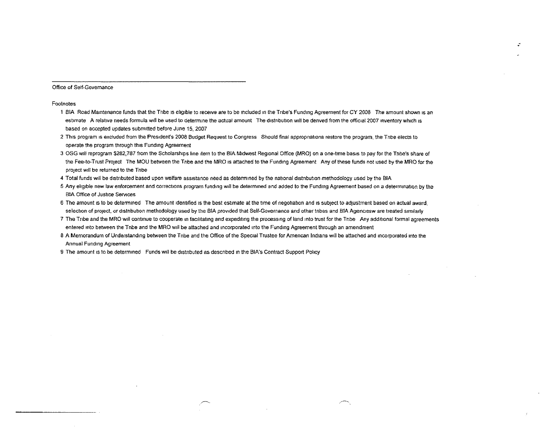Office of Seff-Govemance

#### Footnotes

- 1 BIA Road Maintenance funds that the Tnbe ISehglble to receive are to be Included 10 the Tube's Funding Agreement for CY *2008* The amount shown IS an estimate A relative needs formula will be used to determine the actual amount The distribution will be derived from the official 2007 inventory which is based on accepted updates submitted before June 15, 2007
- 2 This program 1\$ excluded from the President's 2008 Budget Request to Congress Should final appropnanons restore the program, the Tnbe elects to operate the program through this Funding Agreement
- 3 OSG will reprogram \$282,787 from the Scholarships line item to the BIA Midwest Regional Office (MRO) on a one-time basis to pay for the Tribe's share of the Fee-to-Trust Project The MOU between the Tribe and the MRO IS attached to the Funding Agreement Any of these funds not used by the MRO for the project Will be returned to the Tnbe
- 4 Total funds will be distributed based upon welfare assistance need as determined by the national distribution methodology used by the BIA
- 5 Any eligIble new law enforcement and corrections program fundmg Will be deternuned and added to the Fundmg Agreement based on a detemunanon by the **BIA Office of Justice Services**
- 6 The amount is to be determined The amount identified is the best estimate at the time of negotiation and is subject to adjustment based on actual award, selection of project, or distribution methodology used by the BIA provided that Self-Governance and other tnbes and BIA Agenciesw are treated similarly
- 7 The Tribe and the MRO will continue to cooperate in facilitating and expediting the processing of land into trust for the Tribe Any additional formal agreements entered into between the Tribe and the MRO will be attached and incorporated into the Funding Agreement through an amendment

 $\overline{\phantom{1}}$ 

."

- 8 A Memorandum of Understanding between the Tribe and the Office of the Special Trustee for Amencan Indians will be attached and incorporated into the Annual Fundmq Agreement
- 9 The amount is to be determined Funds will be distributed as described in the BIA's Contract Support Policy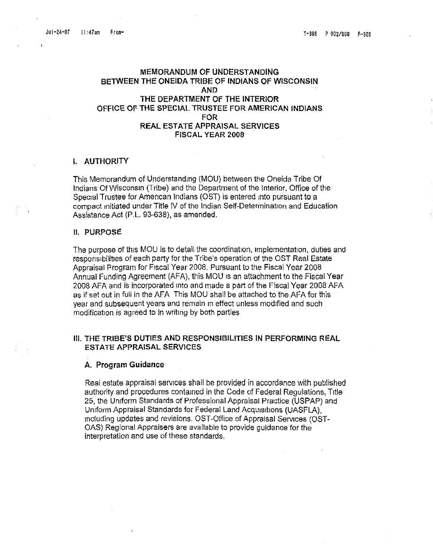### MEMORANDUM OF UNDERSTANDING BETWEEN THE ONEIDA TRIBE OF INDIANS OF WISCONSIN AND THE DEPARTMENT Of THE INTERIOR OFFICE OF THE SPECIAL TRUSTEE FOR AMERICAN INDIANS FOR REAL ESTATE APPRAISAL SERVICES FISCAL YEAR 2008

#### I. AUTHORITY

This Memorandum of Understanding (MOU) between the Oneida Tribe Of Indians OfWisconsm (Tribe) and the Department of the Interior. Office of the Special Trustee for American Indians (OST) is entered Into pursuant to a compact Initiated under Title IV of the Indian Self-Determination and Education Assistance Act (P,L. 93-638), as amended.

#### II. PURPOSE:

The purpose of this MOU is to detail the coordination, implementation, duties and responsibilities of each party for the Tribe's operation of the OST Real Estate Appraisal Program for Fiscal Year 2008. Pursuant to the Fiscal Year 2008 Annual Funding Agreement (AFA), this MOU IS an attachment to the Fiscal Year 2008 AFA and is incorporated mto and made a part of the Fiscal Year 2008 AFA as if set out in full in the AFA This MOU shall be attached to the AFA for this year and subsequent years and remain in effect unless modified and such modification is agreed to in writing by both parties

### III. THE TRIBE'S DUTIES AND RESPONSIBILITIES IN PERFORMING REAL ESTATE APPRAISAL SERVICES

#### A. Program Guidance

Real estate appraisal services shall be provided in accordance with published authority and procedures contained in the Code of Federal Regulations, Title 25, the Uniform Standards of Professional Appraisal Practice (USPAP) and Uniform Appraisal Standards for Federal Land Acquisitions (UASFLA), mcludinq updates and revisions. OST-Office of Appraisal Services (OST-OAS) Regional Appraisers are available to provide guidance for the interpretation and use of these standards.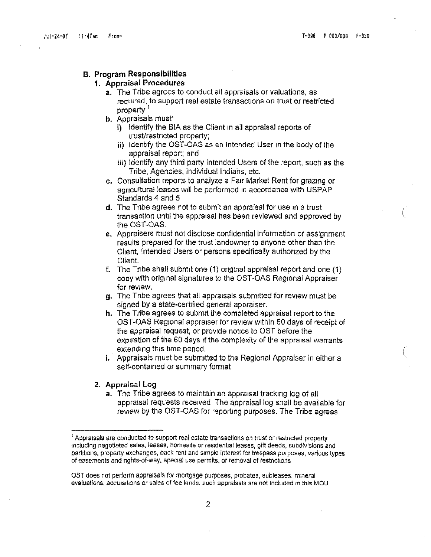(

### B. Program Responsibilities

### 1. Appraisal Procedures

- a. The Tribe agrees to conduct all appraisals or valuations, as required, to support real estate transactions on trust or restricted property<sup>1</sup>
- b. Appraisals must'
	- i) Identify the BIA as the Client in all appraisal reports of trusVrestncted property;
	- ii) Identify the OST-OAS as an Intended User in the body of the appraisal report; and
	- iii) Identify any third party Intended Users of the report, such as the Tribe, Agencies, individual Indiahs, etc.
- c. Consultation reports to analyze a Farr Market Rent for grazing or agncultural leases will be performed m accordance with USPAP Standards 4 and 5
- d. The Tribe agrees not to submit an appraisal for use in a trust transaction until the appraisal has been reviewed and approved by the OST-OAS.
- e. Appraisers must not disclose confidential information or assignment results prepared for the trust landowner to anyone other than the Client, Intended Users or persons specifically authonzed by the Client.
- f. The Tribe shall submit one  $(1)$  original appraisal report and one  $(1)$ copy with original signatures to the OST-CAS Regional Appraiser for review.
- g. The Tribe agrees that all appraisals submitted for review must be signed by a state-certified general appraiser.
- h. The Tribe agrees to submit the completed appraisal report to the OST-OAS Regional appraiser for review within 60 days of receipt of the appraisal request, or provide notice to OST before the expiration of the 60 days if the complexity of the appraisal warrants extending this time period.
- i. Appraisals must be submitted to the Regional Appraiser in either a self-contained or summary format

#### 2. Appraisal Log

a. The Tribe agrees to maintain an appraisal tracking log of all appraisal requests received The appraisal log shall be available for review by the CST-OAS for reporting purposes. The Tribe agrees

 $<sup>1</sup>$  Appraisals are conducted to support real estate transactions on trust or restricted property</sup> Including negotiated sales, leases, homesite orresidenuat leases, gift deeds, subdivisions and partitions, property exchanges, back rent and Simple interest for trespass purposes, various types of easements and rights-of-way, special use permits, or removal of restrictions

OST does not perform appraisals for mortgage purposes, probates, subleases, minerai evaluations, acquisitions or sales of fee lands, such appraisals are not included in this MOU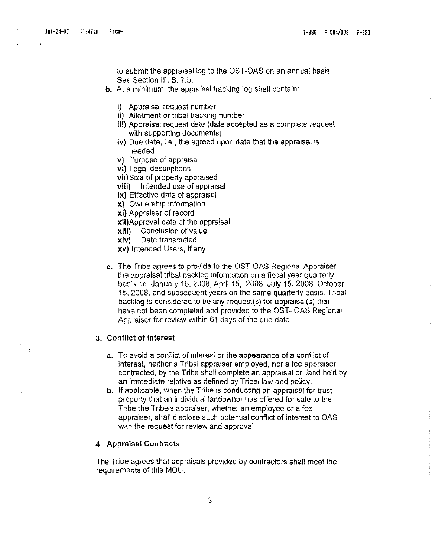to submit the appraisal log to the OST-OAS on an annual basis See Section III. B. 7.b.

- b. At a minimum, the appraisal tracking log shall contain:
	- i) Appraisal request number
	- ii) Allotment or tnbal tracking number
	- iii) Appraisal request date (date accepted as a complete request with supporting documents)
	- iv) Due date, i.e., the agreed upon date that the appraisal is needed
	- v) Purpose of appraisal
	- vi) Legal descriptions

vii)Slze of property appraised

- viii) Intended use of appraisal
- ix) Effective date of appraisal
- x) Ownership Information

xi) Appraiser of record

- xii)Approval date of the appraisal
- xiii) Conclusion of value
- xlv) Dete transmitted
- xv) Intended Users, if any
- c. The Tribe agrees to provide to the OST-OAS Regional Appraiser the appraisal tribal backlog Information on a fiscal year quarterly basis on January 15,2008, April 15, 2008, July 15, 2008, October 15,2008, and subsequent years on the same quarterly basis. Tnbal backlog is considered to be any request(s) for appraisal(s) that have not been completed and provided to the OST- OAS Regional Appraiser for review within 61 days of the due date

#### 3. Conflict of Interest

- a. To avoid a conflict of mterest or the appearance of a conflict of interest, neither a Tribal appraiser employed, nor a fee appraiser contracted, by the Tribe shall complete an appraisal On land held by an immediate relative as defined by Tribal law and policy.
- **b.** If applicable, when the Tribe is conducting an appraisal for trust property that an individual landowner has offered for sale to the Tribe the Tribe's appraiser, whether an employee or a fee appraiser, shall disclose such potential conflict of interest to GAS with the request for review and approval

#### 4. Appraisal Contracts

The Tribe agrees that appraisals provided by contractors shall meet the requirements of this MOU.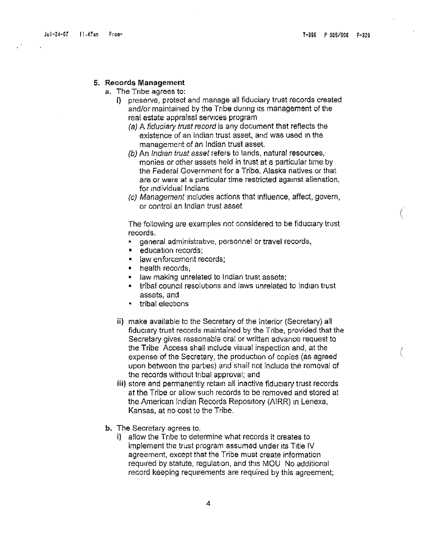(

(

#### 6. Records Management

- a. The Tribe agrees to:
	- i) preserve, protect and manage all fiduciary trust records created and/or maintained by the Tribe during its management of the real estate appraisal services program
		- (a) A fiduciary trust record is any document that reflects the existence of an Indian trust asset, and was used In the management of an Indian trust asset.
		- (b) An *Indian trust asset* refers to lands, natural resources, monies or other assets held in trust at a particular time by the Federal Government for a Tribe. Alaska natives or that are or were at a particular time restricted against alienation, for individual Indians
		- (c) Management Includes actions that Influence, affect, govern, or control an Indian trust asset

The following are examples not considered to be flduciary trust records.

- general administrative, personnel or travel records,
- education records;
- law enforcement records;
- health records,
- law making unrelated to Indian trust assets;
- tribal council resolutions and laws unrelated to Indian trust assets, and
- tribal elections
- ii) make available to the Secretary of the Interior (Secretary) all fiducrary trust records maintained by the Tribe, provided that the Secretary gives reasonable oral or written advance request to the Tribe Access shall Include visual inspection and, at the expense of the Secretary, the production of copies (as agreed upon between the parties) and shall not Include the removal of the records without tribal approval; and
- iii) store and permanently retam all inactive fiduciary trust records at the Tribe or allow such records to be removed and stored at the American Indian Records Repository (AIRR) In Lenexa, Kansas, at no cost to the Tribe.
- b. The Secretary agrees to.
	- i) allow the Tnbe to determine what records it creates to implement the trust program assumed under its Title IV agreement, except that the Tribe must create Information required by statute, regulation, and this MOU No additional record keeping requirements are required by this agreement;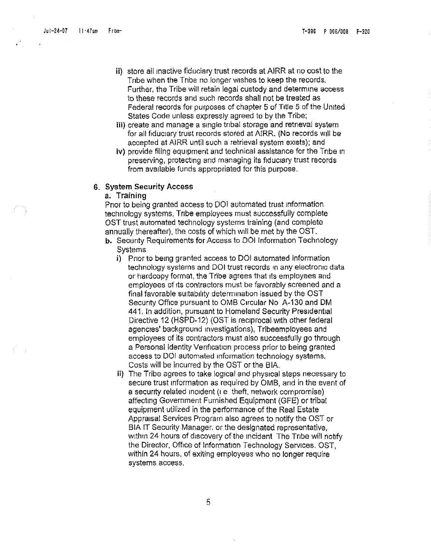- ii) store all inactive fiduciary trust records at AIRR at no cost to the Tnbe when the Tribe no longer wishes to keep the records. Further, the Tribe will retain legal custody and determine access to these records and such records shall not be treated as Federal records for purposes of chapter 5 of TItle 5 of the United States Code unless expressly agreed to by the Tribe;
- iii) create and manage a Single tnbal storage and retrieval system for all fiduciary trust records stored at AIRR. (No records Will be accepted at AIRR until such a retrieval system exists): and
- tv) provide filing equipment and technical assistance for the Tribe m preserving, protecting and managing its fiduciary trust records from available funds appropriated for this purpose.

#### 6. System Security Access

#### a. Training

Prior to being granted access to 001 automated trust Information technology systems, Tnbe employees must successfully complete OST trust automated technology systems training (and complete annually thereafter), the costs of which Will be met by the 08I.

- b. Secunty Requirements for Access to DOI Information Technology **Systems** 
	- i) Prior to being granted access to 001 automated information technology systems and DOI trust records in any electronic data or hardcopy format, the Tribe agrees that its employees and employees of its contractors must be favorably screened and a final favorable SUitability determination issued by the OST Security Office pursuant to OMS Circular No A-130 and OM 441. In addition, pursuant to Homeland Security Presrdential Directive 12 (HSPD-12) (OST is reciprocal With other federal agencies' background Investigations), Tribeemployees and employees of its contractors must also successfully go through a Personal Identity Venfication process prior to being granted access to 001 automated mforrnation technology systems. Costs will be incurred by the OST or the BIA.
	- ii) The Tribe agrees to take logical and physical steps necessary to secure trust information as required by OMB, and in the event of a security related mordent (I e theft. network compromise) affecting Government Furnished Equipment (GFE) or tribal equipment utilized in the performance of the Real Estate Appraisal Services Program also agrees to notify the OST or BIA IT Security Manager. or the designated representative, within 24 hours of discovery of the incident. The Tribe will notify the Director. Office of Information Technology Services. OST, within 24 hours, of exiting employees who no longer require systems access.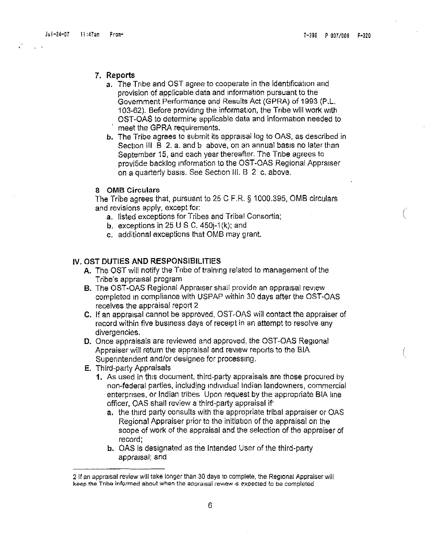(

(

#### 7. Reports

- a. The Tribe and OST agree to cooperate in the identification and provision of applicable data and Information pursuant to the Government Performance and Results Act (GPRA) of 1993 (P.L. 103-62). Before providing the information, the Tnbe will work with OST-OAS to determine applicable data and information needed to meet the GPRA requirements.
- b. The Tribe agrees to submit its appraisal log to OAS, as described in Section III B 2. a. and b above, on an annual basis no later than September 15, and each year thereafter. The Tnbe agrees to provi5de backlog Information to the OST-OAS Regional Appraiser on a quarterly basis. See Section III. B 2 c. above.

#### 8 OMB Circulars

The Tribe agrees that, pursuant to  $25$  C F.R. § 1000.395, OMB circulars and revisions apply, except for:

- a. listed exceptions for Tribes and Tribal Consortia;
- b. exceptions in 25 U S C. 450 $-1$ (k); and
- c. additional exceptions that OMB may grant.

### IV. OST DUTIES AND RESPONSIBILITIES

- A. The OST will notify the Tnbe of training related to management of the Tribe's appraisal program
- B. The OST-OAS Regional Appraiser shall provide an appraisal review completed in compliance with USPAP within 30 days after the OST-OAS receives the appraisal report 2
- C. If an appraisal cannot be approved, OST-OAS will contact the appraiser of record within five business days of receipt in an attempt to resolve any divergencies.
- D. Once appraisals are reviewed and approved, the OST-OAS Regional Appraiser will return the appraisal and review reports to the BIA Supenntendent and/or designee for processing.
- E. ThIrd-party Appraisals
	- 1. As used in this document, third-party appraisals are those procured by non-federal parties, including tndivrdua] Indian landowners, commercial enterprises, or Indian tribes Upon request by the appropriate BIA lme officer, OAS shall review a third-party appraisal if'
		- a. the third party consults with the appropriate tribal appraiser or QAS Regional Appraiser prior to the initiation of the appraisal on the scope of work of the appraisal and the selection of the appraiser of record;
		- b. OAS is designated as the Intended User of the third-party appraisal; and

<sup>2</sup> If an appraisal reviewwill take longerthan 30 daysto complete. the Regional Appraiser will keep the Tribe informed about when the appraisal review is expected to be completed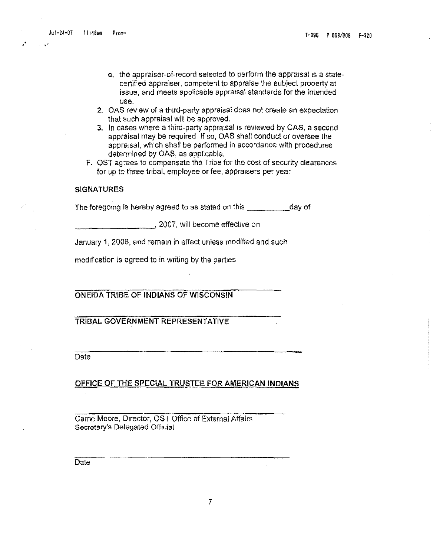Ju1-24-07 <sup>11</sup> :4S,. From- T-SSS P OOS/OOS F-S20

. •

- c. the appraiser-of-record selected to perform the appraisal is a statecertified appraiser, competent to appraise the subject property at issue, and meets applicable appraisal standards for the intended use.
- 2. OAS review of a third-party appraisal does not create an expectation that such appraisal will be approved.
- 3. In cases where a third-party appraisal IS reviewed by OAS, a second appraisal may be required If so, OAS shall conduct or oversee the appraisal, which shall be performed in accordance with procedures determined by OAS, as applicable.
- F. OST agrees to compensate the Tribe for the cost of security clearances for up to three tribal, employee or fee, appraisers per year

#### SIGNATURES

The foregoing is hereby agreed to as stated on this \_\_\_\_\_\_\_\_\_\_\_ day of

\_\_\_\_\_\_\_\_, 2007, will become effective on

January 1, 2008, and remain in effect unless modified and such

modification is agreed to in writing by the parties

ONEIDA TRIBE OF **INDIANS** OF WISCONSIN

TRIBAL GOVERNMENT REPRESENTATIVE

**Date** 

OFFICE OF THE SPECIAL TRUSTEE FOR AMERICAN INDIANS

Carne Moore, Director, OST Office of External Affairs Secretary's Delegated Official

Date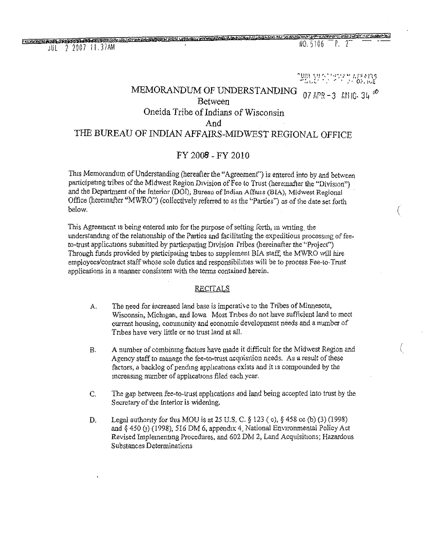<u> FREEZENIA IT L'IDLANNA DAN DINININALE DE LE ANGIORI DI L'ELEVISION I L'IDLE</u> JUL 2 2007 11.37AM

NO. 5106 P. 2

**SPROOFLE CONTROLLED SCORET IN** 

(

(

"'lm~ ~,lJ",' **I.P',',\ L'** !,f'i-~n~ ""~lt,:,' ",' **." , ." O:',I'rE** MEMORANDUM OF UNDERSTANDING  $_{07}$  APR -3  $_{6}$  KH 10, 34  $^{46}$ Between Oneida Tribe of Indians of Wisconsin And THE BUREAU OF INDIAN AFFAIRS-MIDWEST REGIONAL OFFICE

### FY *2008* - FY 2010

This Memorandum of Understanding (hereafter the "Agreement") is entered into by and between participating tribes of the Midwest Region Division of Fee to Trust (hereinafter the "Division") and the Department of the Interior (DOI), Bureau of Indian Affans (BIA), Midwest Regional Office (hereinafter "MWRO") (collectively referred to as the "Parties") as of the date set forth below.

This Agreement is being entered into for the purpose of setting forth, in writing the understanding of the relationship of the Parties and facilitating the expeditious processing of feeto-trust applications submitted by participating Division Iribes (hereinafter the "Project") Through funds provided by participating tribes to supplement BIA staff, the MWRO will hire employees/contract staff whose sole duties and responsibilities will be to process Fee-to-Trust applications in a manner consistent with the terms contained herein.

### **RECITALS**

- A. The need for increased land base is Imperative to the Tribes of Minnesota, Wisconsin, Michigan, and Iowa Most Tribes do not have sufficient land to meet current housing, community and economic development needs and a number of Tribes have very little or no trust land at all.
- B. A number of combining factors have made it difficult for the Midwest Region and Agency staff to manage the fee-to-trust acquisition needs. As a result of these factors, a backlog of pending applications exists and it is compounded by the increasing number of apphcatrons filed eachyear.
- C. The gap between fee-to-trust applications and land being accepted into trust by the Secretary of the Interior is widening.
- D. Legal authority for this MOU is at 25 U.S. C.  $\S$  123 (c),  $\S$  458 cc (b) (3) (1998) and  $§$  450 (j) (1998), 516 DM 6, appendix 4. National Environmental Policy Act Revised Implementing Procedures, and 602 DM 2, Land Acquisitions; Hazardous Substances Determinations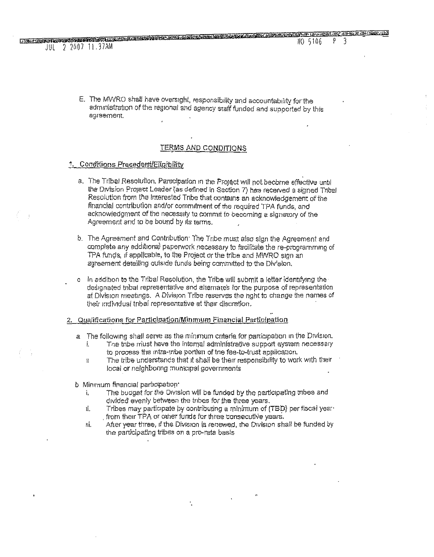<u> Theorical constitute companies on a cartegement and the second constitution of the constitution of the second</u>

E. The MWRO shall have oversight, responsibility and accountability for the administration of the regional and agency staff funded and supported by this agreement,

#### TERMS AND CONDITIONS

#### 1. Conditions Precedent/Eligibility

 $JUL$  2007 11.37AM

- a. The Tribal Resolution, Participation in the Project will not become effective until the Division Project Leader (as defined in Section 7) has received a signed Thbal Resolution from the interested Tribe that contains an acknowledgement of the financial contribution and/or commitment of the required TPA funds, and acknowledgment of the necessity to commit to becoming a signatory of the Agreement and to be bound by its terms.
- b. The Agreement and Contribution: The Tribe must also sign the Agreement and complete any additional peperwork necessary to facilitate the re-programming of TPA funds, if applicable, to the Project or the tribe and MWRO sign an agreement detailing outside funds being committed to the Division.
- c In addition to the Tribal Resolution, the Tribe will submit a letter identifying the designated tnbal representative and alternates for the purpose of representation at Division meetings. A Division Tribe reserves the nght to change the names of their individual tribal representative at their discretion.

#### 2. Qualifications for Participation/Minmum Financial Participation

- a The following shall serve as the minimum criteria for participation in the Division.
	- The tribe must have the internal administrative support system necessary ĺ. to process the intra-tribe portion of the fee-to-trust application.
	- The tribe understands that it shall be their responsibility to work with their  $\mathbf{I}$ local or neighboring municipal governments
- b Minimum financial participation.
	- The budget for the Division will be funded by the participating tribes and j. divided evenly between the tribes for the three years.
	- Tribes may participate by contributing a minimum of (TBD) per fiscal year. ĭL. from their TPA or other funds for three consecutive years.
	- After year three, if the Division is retrewed, the Division shall be funded by Π. the participating tribes on a pro-rata basis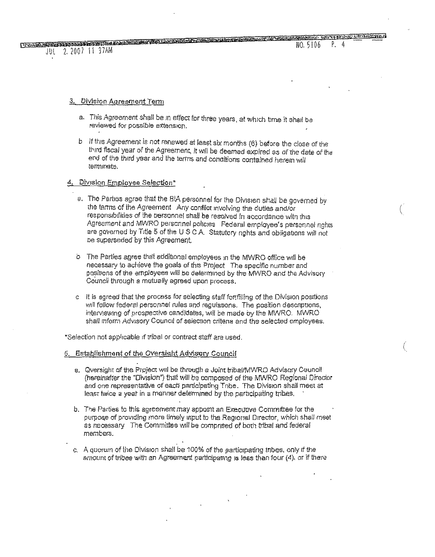(

(

#### 3. Division Agreement Term

JUL 2.2007 11 37AM

- a. This Agreement shall be in effect for three years, at which time it shall be feviewed for possible extension,
- b If this Agreement is not renewed at least six months (6) before the close of the third fiscal year of the Agreement, it will be deemed expired as of the date of the end of the third year and the terms and conoitions contained herein will terminate.

#### 4. Division Employee Selection\*

- a. The Parties agree that the BIA personnel for the Division shall be governed by the terms of the Agreement Any conflict involving the duties and/or responsibilities of the personnet shall be resolved in accordance witn this Agreement and MWRO personnel policies Federal employee's personnel rights are governed by Title 5 of the U.S.C.A. Statutory nghts and obligations will not ne superseded by this Agreement.
- o The Parties agree that additional employees in the MWRO office will be necessary to achieve the goals of thrs Project The specific number and positions of the employees will be determined by the MWRO and the Advisory Council through a mutually agreed upon process.
- c It is agreed that the process for selecting staff for filling of the Division positions will follow federal personnel rules and regulauons. The position descrpuons, interviewing of prospective candidates, will be made by the MWRO. MWRO. shall inform Advisory Council of selection critena and the selected employees.

'Selection not applicable If tribal or contract staff are used.

#### 6. Establishment of the Oversight AdVisory Council

- a. Qversight of the Project Will be throuflh a Joint tribalffVlWRO Advisory Council (hereinafter the "Division") that will be composed of the MWRO Regional Director and one representative of each participating Tnbe. The Division shall meet at least twice a year in a manner determined by the participating tribes.
- b. The Parties to this agreement may appoint an Executive Committee for the purpose of providing more timely input to the Regional Director, which shall meet as necessary The Committee will be compnsed of both tribal and federal members.
- c. A quorum of the Division shall be 100% of the garticipating tribes, only if the amount of tribes with an Agreement participating is less than four  $(4)$ , or if there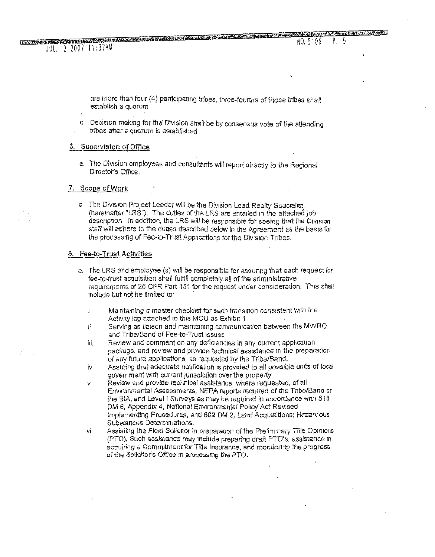<u> Ulanggon Antt Model Dan Chrysler was a malay shows the construction of the construction of the second layshed</u> JUL. 2 2007 11:37AM

> are more than four (4) participating tribes, three-fourths of those tribes shall establish a quorum

a Decision making for the Division shall be by consensus vote of the attending tribes after a quorum is established

#### 6. Supervision of Office

a. The Division employees and consultants will report directly to the Regional Director's Office.

#### 7. Scope of Work

a The Division Project Leader will be the Division Lead Realty Specialist, (hereinafter "LRS"). The duffes of the LRS are entailed in the attached job description In addition, the LRS will be responsible for seeing that the Division staff will adhere to the duties described below in the Agreement as the basis for the processing of Fee-to-Trust Applications for the Division Tribes.

#### 8. Fee-to-Trust Activities

- a. The LRS and employee (s) will be responsible for assuring that each request for fee-to-trust acquisition shall fulfill completely all of the administrative requirements of 25 CFR Part 151 for the request under consideration. This shall include but not be limited to:
	- Maintaining a master checklist for each transition consistent with the  $\mathbf{I}$ Activity log attached to this MOU as Exhibit 1
	- Serving as Ileison and maintaining communication between the MVVRO Ĥ. and Tribe/Band of Fee-to-Trust issues
	- Review and comment on any deficiencies in any current application 'nЕ. package, and review and provide technical assistance in the preparation of any future applications, as requested by the Tribe/Band.
	- Assuring that adequate notification is provided to all possible units of local ΪV aovernment with current jurisdiction over the property
	- Review and provide rechnical assistancs, where requested, of all V Environmental Assessments, NEPA reports required of the Tribe/Band or the BIA, and Level I Surveys as may be required in accordance with 516 DM 6, Appendix 4, National Environmental Policy Act Revised implementing Procedures, and 602 DM 2, Land Acquisitions: Hazardous Substances Determinations.
	- Assisting the Field Solienor in preparation of the Preliminary Title Opinions vĬ (PTO). Such assistance may include preparing draft PTO's, assistance in acquiring a Communient for Title Insurance, and monitoring the progress of the Solicitor's Office in processing the PTO.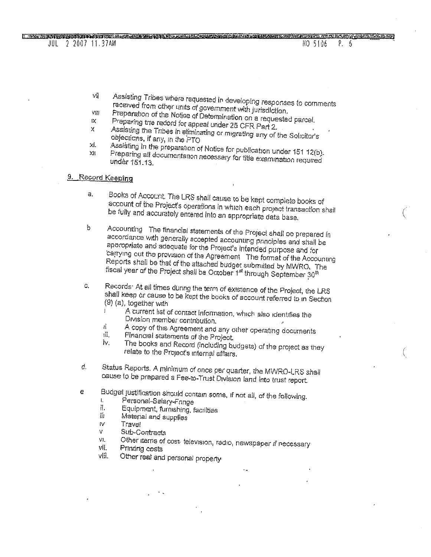. Only marrie of England Drois Different Control in the control of the control of the control of the control of the control of the control of the control of the control of the control of the control of the control of the c NO 5106  $P_{\rm 6}$ 

JUL 2 2007 11.37AM

- Assisting Tribes where requested in developing responses to comments VÑ received from other units of government with jurisdiction.
- Preparation of the Notice of Determination on a requested parcel. VIII ίX.
- Preparing trie record for appeal under 25 CFR Part 2.  $\pmb{\times}$
- Assisting the Tribes in eliminating or migrating any of the Solicitor's objections, if any, in the PTO xi.
- Assisting in the preparation of Notice for publication under 151 12(b). Preparing all documentation necessary for title examination required  $X$ undèr 151.13.

### 9. Record Keeping

- Books of Account. The LRS shall cause to be kept complete books of a. account of the Project's operations in which each project transaction shall be fully and accurately entered into an appropriate data base.
- Accounting The financial statements of the Project shall be prepared in  $\mathfrak b$ accordance with generally accepted accounting principles and shall be appropriate and adequate for the Project's intended purpose and for carrying out the provision of the Agreement The format of the Accounting Reports shall be that of the attached budget submitted by MWRO. The fiscal year of the Project shall be October 1st through September 30th
- Records: At all times during the term of existence of the Project, the LRS C. shall keep or cause to be kept the books of account referred to in Section  $(9)$  (a), together with  $\mathbf{r}$ 
	- A current list of contact information, which also identifies the Division member contribution.
	- A copy of this Agreement and any other operating documents Ĥ.
	- ıij. Financial statements of the Project.
	- The books and Record (including budgets) of the project as they iv. relate to the Project's internal affairs.
- d. Status Reports. A minimum of once per quarter, the MWRO-LRS shall cause to be prepared a Fee-to-Trust Division land into trust report.
- Budget justification should contain some, if not all, of the following.  $\epsilon$ 
	- $\mathbf{L}$ Personal-Salary-Fringe
	- il. Equipment, furnishing, facilities
	- ΪĤ Material and supplies
	- IV. Travel
	- Sub-Contracts Ŵ.
	- Other items of cost television, radio, newspaper if necessary VL.
	- vii. Printing costs
	- víii. Other real and personal property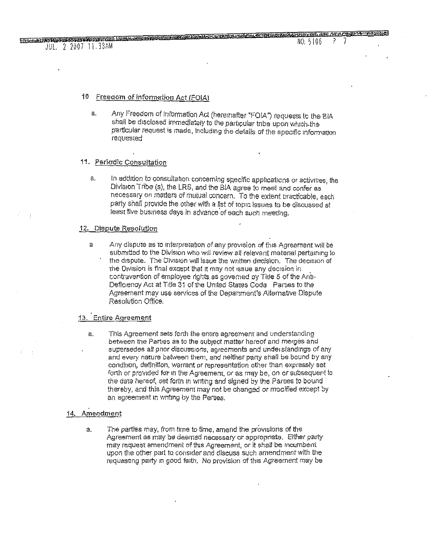### JUL. 2 2007 11.33AM

#### Freegom of Information Act (FOIA) 10

Any Freedom of Information Act (heremafter "FOIA") requests to the BIA  $a$ . shall be disclosed immediately to the particular tribe upon which the particular request is made, including the details of the specific information requested

#### 11. Periodic Consultation

In addition to consultation concerning specific applications or activities, the  $\hat{a}$ . Division Tribe (s), the LRS, and the BIA agree to meet and confer as necessary on matters of mutual concern. To the extent practicable, each party shall provide the other with a list of topic issues to be discussed at least five business days in advance of each such meeting.

#### 12. Dispute Resolution

Any dispute as to interpretation of any provision of this Agreement will be  $\mathsf{a}$ submitted to the Division who will review all relevant material pertaining to the dispute. The Division will issue the written decision. The decision of the Division is final except that it may not issue any decision in contravention of employee rights as governed by Title 5 of the Anti-Deficiency Act at Title 31 of the United States Code Parties to the Agreement may use services of the Department's Alternative Dispute Resolution Office,

### 13. Entire Agreement

This Agreement sets forth the entire agreement and understanding a. between the Parties as to the subject matter hereof and merges and supersedes all prior discussions, agreements and understandings of any and every nature between them, and neither party shall be bound by any condition, definition, warrant or representation other than expressly set forth or provided for in the Agreement, or as may be, on or subsequent to the date hereof, set forth in writing and signed by the Parties to bound thereby, and this Agreement may not be changed or modified except by an agreement in writing by the Parties.

#### 14. Amendment

The parties may, from time to time, amend the provisions of the a. Agreement as may be deemed necessary or appropriate. Either party may request amendment of this Agreement, or it shall be incumbent upon the other part to consider and discuss such amendment with the requesting party in good faith. No provision of this Agreement may be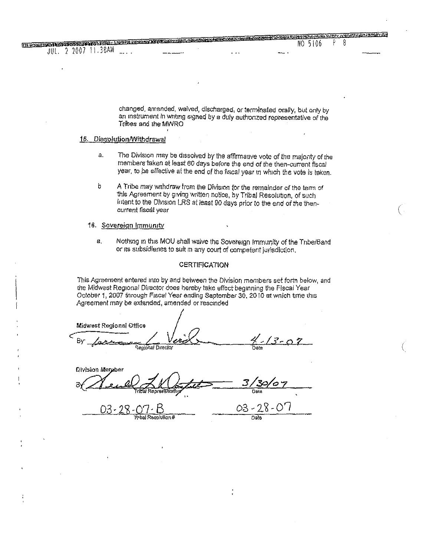changed, amended, waived, discharged, or terminated orally, but only by an instrument in writing signed by a duly authorized representative of the Tribes and the MWRO

**AUGUST CONTRACTOR** 

#### 15. Dissolution/Withdrawal

THE CONSTRUCTION OF CHANGES OF THE CONSTRUCTION OF THE CONSTRUCTION OF THE CONSTRUCTION OF THE CONSTRUCTION OF

 $\sim$   $\sim$ 

JUL. 2 2007 11.38AM

- The Division may be dissolved by the affirmative vote of the majority of the å. members taken at least 60 days before the end of the then-current fiscal year, to be effective at the end of the fiscal year in which the vote is teken.
- b A Tribe may withdraw from the Division for the remainder of the term of this Agreement by giving written notice, by Tribal Resolution, of such intent to the Division LRS at least 90 days prior to the end of the thencurrent fiscal year

#### 16. Sovereign Immunity

a. Nothing in this MOU shall waive the Sovereign Immunity of the Tribe/Band or its subsidienes to suit in any court of competent jurisdiction.

#### **CERTIFICATION**

This Agreement entered into by and between the Division members set forth below, and the Midwest Regional Director does hereby take effect beginning the Fiscal Year October 1, 2007 through Fiscal Year ending September 30, 2010 at wnich time this Agreement may be extended, amended or rescinded

**Midwest Regional Office**  $13 - 07$ Βv Regional Director

Division Merpher

03-The Resplition#

 $03 - 28 - 07$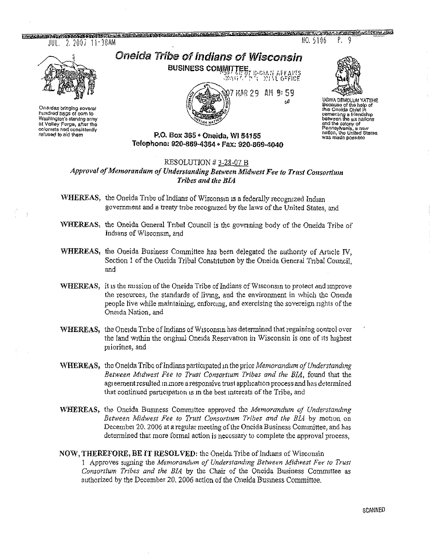the computer of the control of the computer of the computer of the computer of the construction of the control of the control of the control of the control of the control of the control of the control of the control of the  $JUL. 2.2007.11.38AM$ 

Oneidas bringing soveral<br>hundred bags of com to Washington's starying army at Velley Forge, after the coloniets had consistently refused to aid them

Oneida Tribe of Indians of Wisconsin **BUSINESS COMMITTEE, B-CIAN AFFAITS** 



Ρ.

9

NO. 5106

**UGWA DEMOLUM YATERS** Because of the help of<br>this Oneida Chief In cementing a friendship<br>between the six nations and the colony of<br>Pennsylvania, a naw nation, the United States<br>was made possible

### P.O. Box 365 · Oneida, WI 54155 Telephone: 920-869-4354 • Fax: 920-869-4040

### RESOLUTION #3-28-07 B

Approval of Memorandum of Understanding Between Midwest Fee to Trust Consortium Tribes and the BIA

WHEREAS, the Oneida Tribe of Indians of Wisconsin is a federally recognized Indian government and a treaty tribe recognized by the laws of the United States, and

- WHEREAS, the Oneida General Tribal Council is the governing body of the Oneida Tribe of Indians of Wisconsin, and
- WHEREAS, the Oneida Business Committee has been delegated the authority of Article IV, Section 1 of the Oneida Tribal Constitution by the Oneida General Tribal Council. and
- WHEREAS, it is the mission of the Oneida Tribe of Indians of Wisconsin to protect and improve the resources, the standards of living, and the environment in which the Oneida people live while maintaining, enforcing, and exercising the sovereign rights of the Oneida Nation, and
- WHEREAS, the Oneida Tribe of Indians of Wisconsin has determined that regaining control over the land within the original Oneida Reservation in Wisconsin is one of its highest priorities, and
- WHEREAS, the Oneida Tribe of Indians participated in the prior Memorandum of Understanding Between Midwest Fee to Trust Consortium Tribes and the BIA, found that the agreement resulted in more a responsive trust application process and has determined that continued participation is in the best interests of the Tribe, and
- WHEREAS, the Oneida Business Committee approved the Memorandum of Understanding Between Midwest Fee to Trust Consortium Tribes and the BLA by motion on December 20, 2006 at a regular meeting of the Oncida Business Committee, and has determined that more formal action is necessary to complete the approval process,

### NOW, THEREFORE, BE IT RESOLVED: the Oneida Tribe of Indians of Wisconsin

1 Approves signing the Memorandum of Understanding Between Midwest Fee to Trust Consortium Tribes and the BIA by the Chair of the Oneida Business Committee as authorized by the December 20, 2006 action of the Oneida Business Committee.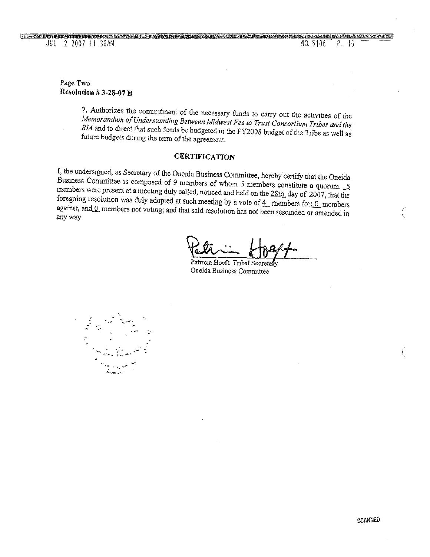### Page Two Resolution  $#3-28-07$   $B$

2. Authorizes the commitment of the necessary funds to carry out the activities of the Memorandum of Understanding Between Midwest Fee to Trust Consortium Tribes and the BIA and to direct that such funds be budgeted in the FY2008 budget of the Tribe as well as future budgets during the term of the agreement.

### **CERTIFICATION**

I, the undersigned, as Secretary of the Oneida Business Committee, hereby certify that the Oneida Business Committee is composed of 9 members of whom 5 members constitute a quorum.  $5$ members were present at a meeting duly called, noticed and held on the 28th day of 2007, that the foregoing resolution was duly adopted at such meeting by a vote of  $4$  members for; 0 members against, and 0 members not voting; and that said resolution has not been rescinded or amended in any way

Patricia Hoeft, Tribal Secretas Oneida Business Committee

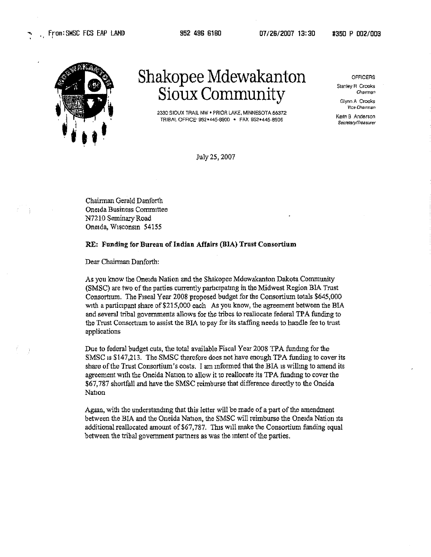

# Shakopee Mdewakanton *Sioux Community*

2330 SIOliX TRAIL NW' PRIOR LAKE, MINNESOTA 55372 TRIBAL OFFICE' 952-445·8900 • FAX 952.445-8906

July 25, 2007

OFFICERS

Stanley R Crooks Chairman

Glynn A Crooks **VIce Charman** 

Kenn B Anderson Secretary/Treasurer

Chairman Gerald Danforth Oneida Business Committee N7210 SeminaryRoad Oneida, Wisconsin 54155

#### RE: Funding for Bureau of Indian Affairs (BIA) Trust Consortium

Dear Chairman Danforth:

As you know the Oneida Nation and the Shakopee Mdewakanton Dakota Community (SMSC) are two of the parties currently participating in the Midwest Region BIA Trust Consortium. The Fiscal Year 2008 proposed budget for the Consortium totals \$645,000 with a participant share of \$215,000 each As you know, the agreement between the BIA and several tribal governments allows for the tribes to reallocate federal TPA funding to the Trust Consortium to assist the BIA to pay for its staffing needs to handle fee to trust applications

Due to federal budget cuts, the total available Fiscal Year 2008 TPA funding for the SMSC is \$147,213. The SMSC therefore does not have enough TPA funding to cover its share of the Trust Consortium's costs. I am informed that the BIA is willing to amend its agreement with the Oneida Nation to allow it to reallocate its TPA funding to cover the \$67,787 shortfall and have the SMSC reimburse that difference directly to the Oneida Nation

Again, with the understanding that this letter will be made of a part of the amendment between the BIA and the Oneida Nation, the SMSC will reimburse the Oneida Nation its additional reallocated amount of \$67,787. This will make the Consortium funding equal between the tribal government partners as was the intent of the parties.